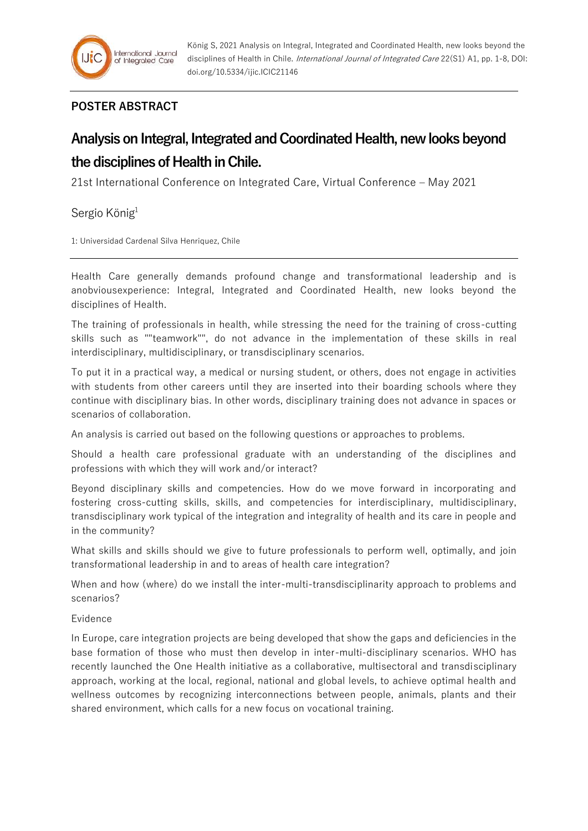## **POSTER ABSTRACT**

## **Analysis on Integral, Integrated and Coordinated Health, new looks beyond the disciplines of Health in Chile.**

21st International Conference on Integrated Care, Virtual Conference – May 2021

Sergio König<sup>1</sup>

1: Universidad Cardenal Silva Henriquez, Chile

Health Care generally demands profound change and transformational leadership and is anobviousexperience: Integral, Integrated and Coordinated Health, new looks beyond the disciplines of Health.

The training of professionals in health, while stressing the need for the training of cross-cutting skills such as ""teamwork"", do not advance in the implementation of these skills in real interdisciplinary, multidisciplinary, or transdisciplinary scenarios.

To put it in a practical way, a medical or nursing student, or others, does not engage in activities with students from other careers until they are inserted into their boarding schools where they continue with disciplinary bias. In other words, disciplinary training does not advance in spaces or scenarios of collaboration.

An analysis is carried out based on the following questions or approaches to problems.

Should a health care professional graduate with an understanding of the disciplines and professions with which they will work and/or interact?

Beyond disciplinary skills and competencies. How do we move forward in incorporating and fostering cross-cutting skills, skills, and competencies for interdisciplinary, multidisciplinary, transdisciplinary work typical of the integration and integrality of health and its care in people and in the community?

What skills and skills should we give to future professionals to perform well, optimally, and join transformational leadership in and to areas of health care integration?

When and how (where) do we install the inter-multi-transdisciplinarity approach to problems and scenarios?

## Evidence

In Europe, care integration projects are being developed that show the gaps and deficiencies in the base formation of those who must then develop in inter-multi-disciplinary scenarios. WHO has recently launched the One Health initiative as a collaborative, multisectoral and transdisciplinary approach, working at the local, regional, national and global levels, to achieve optimal health and wellness outcomes by recognizing interconnections between people, animals, plants and their shared environment, which calls for a new focus on vocational training.